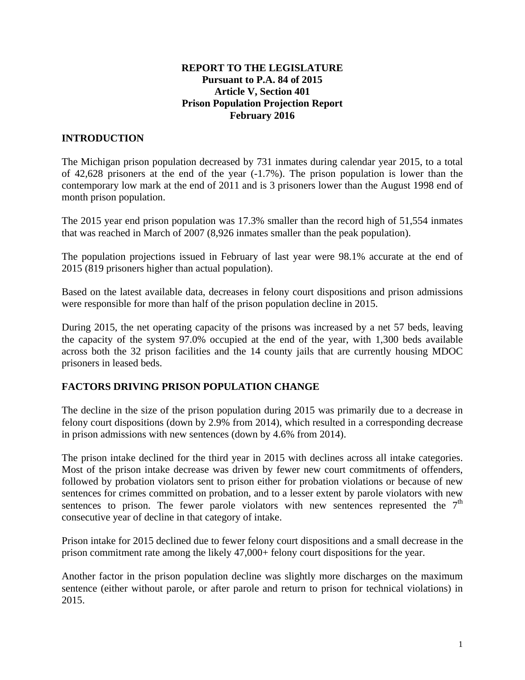#### **REPORT TO THE LEGISLATURE Pursuant to P.A. 84 of 2015 Article V, Section 401 Prison Population Projection Report February 2016**

# **INTRODUCTION**

The Michigan prison population decreased by 731 inmates during calendar year 2015, to a total of 42,628 prisoners at the end of the year (-1.7%). The prison population is lower than the contemporary low mark at the end of 2011 and is 3 prisoners lower than the August 1998 end of month prison population.

The 2015 year end prison population was 17.3% smaller than the record high of 51,554 inmates that was reached in March of 2007 (8,926 inmates smaller than the peak population).

The population projections issued in February of last year were 98.1% accurate at the end of 2015 (819 prisoners higher than actual population).

Based on the latest available data, decreases in felony court dispositions and prison admissions were responsible for more than half of the prison population decline in 2015.

During 2015, the net operating capacity of the prisons was increased by a net 57 beds, leaving the capacity of the system 97.0% occupied at the end of the year, with 1,300 beds available across both the 32 prison facilities and the 14 county jails that are currently housing MDOC prisoners in leased beds.

## **FACTORS DRIVING PRISON POPULATION CHANGE**

The decline in the size of the prison population during 2015 was primarily due to a decrease in felony court dispositions (down by 2.9% from 2014), which resulted in a corresponding decrease in prison admissions with new sentences (down by 4.6% from 2014).

The prison intake declined for the third year in 2015 with declines across all intake categories. Most of the prison intake decrease was driven by fewer new court commitments of offenders, followed by probation violators sent to prison either for probation violations or because of new sentences for crimes committed on probation, and to a lesser extent by parole violators with new sentences to prison. The fewer parole violators with new sentences represented the  $7<sup>th</sup>$ consecutive year of decline in that category of intake.

Prison intake for 2015 declined due to fewer felony court dispositions and a small decrease in the prison commitment rate among the likely 47,000+ felony court dispositions for the year.

Another factor in the prison population decline was slightly more discharges on the maximum sentence (either without parole, or after parole and return to prison for technical violations) in 2015.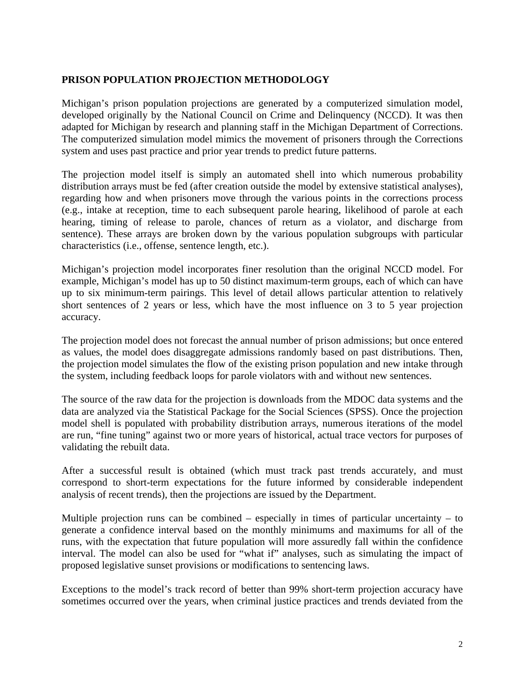## **PRISON POPULATION PROJECTION METHODOLOGY**

Michigan's prison population projections are generated by a computerized simulation model, developed originally by the National Council on Crime and Delinquency (NCCD). It was then adapted for Michigan by research and planning staff in the Michigan Department of Corrections. The computerized simulation model mimics the movement of prisoners through the Corrections system and uses past practice and prior year trends to predict future patterns.

The projection model itself is simply an automated shell into which numerous probability distribution arrays must be fed (after creation outside the model by extensive statistical analyses), regarding how and when prisoners move through the various points in the corrections process (e.g., intake at reception, time to each subsequent parole hearing, likelihood of parole at each hearing, timing of release to parole, chances of return as a violator, and discharge from sentence). These arrays are broken down by the various population subgroups with particular characteristics (i.e., offense, sentence length, etc.).

Michigan's projection model incorporates finer resolution than the original NCCD model. For example, Michigan's model has up to 50 distinct maximum-term groups, each of which can have up to six minimum-term pairings. This level of detail allows particular attention to relatively short sentences of 2 years or less, which have the most influence on 3 to 5 year projection accuracy.

The projection model does not forecast the annual number of prison admissions; but once entered as values, the model does disaggregate admissions randomly based on past distributions. Then, the projection model simulates the flow of the existing prison population and new intake through the system, including feedback loops for parole violators with and without new sentences.

The source of the raw data for the projection is downloads from the MDOC data systems and the data are analyzed via the Statistical Package for the Social Sciences (SPSS). Once the projection model shell is populated with probability distribution arrays, numerous iterations of the model are run, "fine tuning" against two or more years of historical, actual trace vectors for purposes of validating the rebuilt data.

After a successful result is obtained (which must track past trends accurately, and must correspond to short-term expectations for the future informed by considerable independent analysis of recent trends), then the projections are issued by the Department.

Multiple projection runs can be combined – especially in times of particular uncertainty – to generate a confidence interval based on the monthly minimums and maximums for all of the runs, with the expectation that future population will more assuredly fall within the confidence interval. The model can also be used for "what if" analyses, such as simulating the impact of proposed legislative sunset provisions or modifications to sentencing laws.

Exceptions to the model's track record of better than 99% short-term projection accuracy have sometimes occurred over the years, when criminal justice practices and trends deviated from the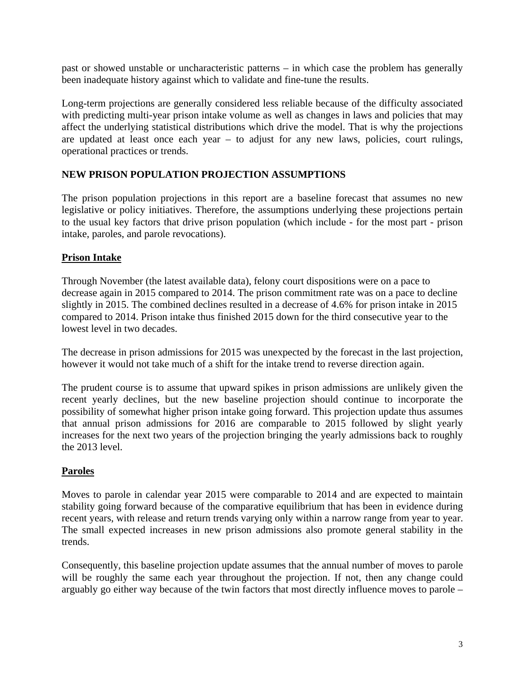past or showed unstable or uncharacteristic patterns – in which case the problem has generally been inadequate history against which to validate and fine-tune the results.

Long-term projections are generally considered less reliable because of the difficulty associated with predicting multi-year prison intake volume as well as changes in laws and policies that may affect the underlying statistical distributions which drive the model. That is why the projections are updated at least once each year – to adjust for any new laws, policies, court rulings, operational practices or trends.

## **NEW PRISON POPULATION PROJECTION ASSUMPTIONS**

The prison population projections in this report are a baseline forecast that assumes no new legislative or policy initiatives. Therefore, the assumptions underlying these projections pertain to the usual key factors that drive prison population (which include - for the most part - prison intake, paroles, and parole revocations).

## **Prison Intake**

Through November (the latest available data), felony court dispositions were on a pace to decrease again in 2015 compared to 2014. The prison commitment rate was on a pace to decline slightly in 2015. The combined declines resulted in a decrease of 4.6% for prison intake in 2015 compared to 2014. Prison intake thus finished 2015 down for the third consecutive year to the lowest level in two decades.

The decrease in prison admissions for 2015 was unexpected by the forecast in the last projection, however it would not take much of a shift for the intake trend to reverse direction again.

The prudent course is to assume that upward spikes in prison admissions are unlikely given the recent yearly declines, but the new baseline projection should continue to incorporate the possibility of somewhat higher prison intake going forward. This projection update thus assumes that annual prison admissions for 2016 are comparable to 2015 followed by slight yearly increases for the next two years of the projection bringing the yearly admissions back to roughly the 2013 level.

## **Paroles**

Moves to parole in calendar year 2015 were comparable to 2014 and are expected to maintain stability going forward because of the comparative equilibrium that has been in evidence during recent years, with release and return trends varying only within a narrow range from year to year. The small expected increases in new prison admissions also promote general stability in the trends.

Consequently, this baseline projection update assumes that the annual number of moves to parole will be roughly the same each year throughout the projection. If not, then any change could arguably go either way because of the twin factors that most directly influence moves to parole –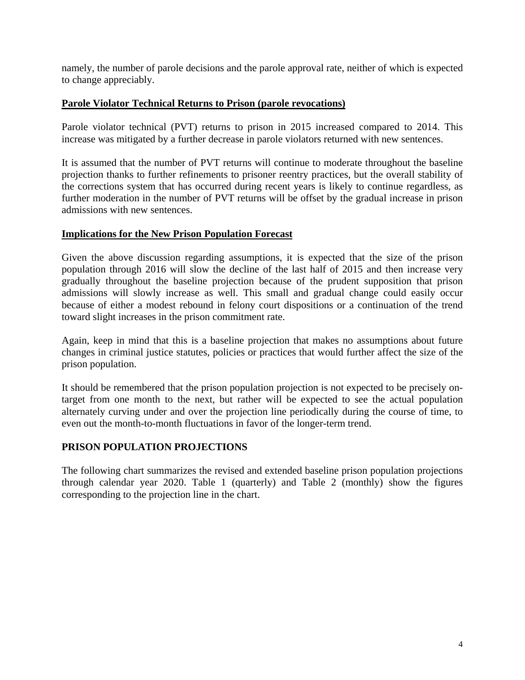namely, the number of parole decisions and the parole approval rate, neither of which is expected to change appreciably.

#### **Parole Violator Technical Returns to Prison (parole revocations)**

Parole violator technical (PVT) returns to prison in 2015 increased compared to 2014. This increase was mitigated by a further decrease in parole violators returned with new sentences.

It is assumed that the number of PVT returns will continue to moderate throughout the baseline projection thanks to further refinements to prisoner reentry practices, but the overall stability of the corrections system that has occurred during recent years is likely to continue regardless, as further moderation in the number of PVT returns will be offset by the gradual increase in prison admissions with new sentences.

#### **Implications for the New Prison Population Forecast**

Given the above discussion regarding assumptions, it is expected that the size of the prison population through 2016 will slow the decline of the last half of 2015 and then increase very gradually throughout the baseline projection because of the prudent supposition that prison admissions will slowly increase as well. This small and gradual change could easily occur because of either a modest rebound in felony court dispositions or a continuation of the trend toward slight increases in the prison commitment rate.

Again, keep in mind that this is a baseline projection that makes no assumptions about future changes in criminal justice statutes, policies or practices that would further affect the size of the prison population.

It should be remembered that the prison population projection is not expected to be precisely ontarget from one month to the next, but rather will be expected to see the actual population alternately curving under and over the projection line periodically during the course of time, to even out the month-to-month fluctuations in favor of the longer-term trend.

## **PRISON POPULATION PROJECTIONS**

The following chart summarizes the revised and extended baseline prison population projections through calendar year 2020. Table 1 (quarterly) and Table 2 (monthly) show the figures corresponding to the projection line in the chart.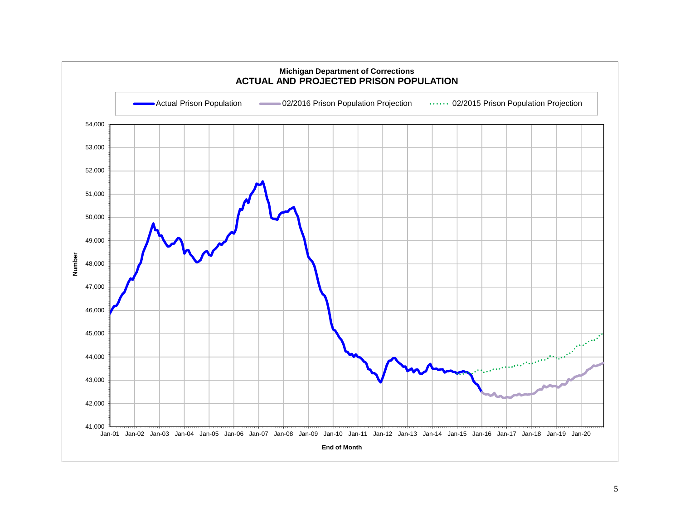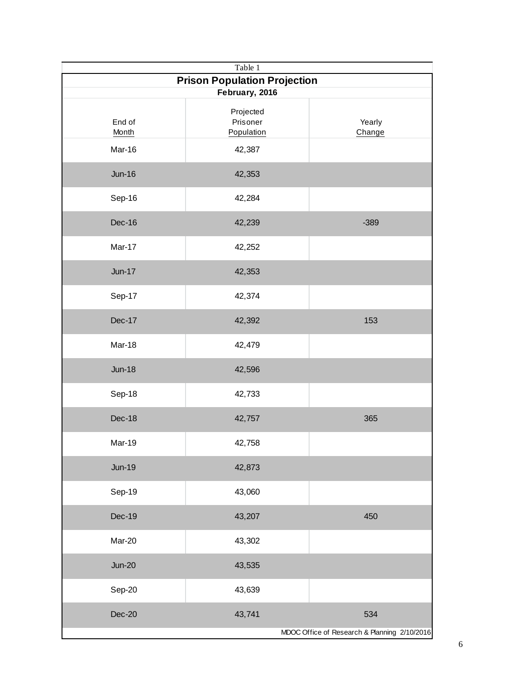| Table 1                             |                                     |                                              |
|-------------------------------------|-------------------------------------|----------------------------------------------|
| <b>Prison Population Projection</b> |                                     |                                              |
| February, 2016                      |                                     |                                              |
| End of<br>Month                     | Projected<br>Prisoner<br>Population | Yearly<br>Change                             |
| Mar-16                              | 42,387                              |                                              |
| $Jun-16$                            | 42,353                              |                                              |
| Sep-16                              | 42,284                              |                                              |
| Dec-16                              | 42,239                              | $-389$                                       |
| Mar-17                              | 42,252                              |                                              |
| $Jun-17$                            | 42,353                              |                                              |
| Sep-17                              | 42,374                              |                                              |
| Dec-17                              | 42,392                              | 153                                          |
| Mar-18                              | 42,479                              |                                              |
| $Jun-18$                            | 42,596                              |                                              |
| Sep-18                              | 42,733                              |                                              |
| Dec-18                              | 42,757                              | 365                                          |
| Mar-19                              | 42,758                              |                                              |
| <b>Jun-19</b>                       | 42,873                              |                                              |
| Sep-19                              | 43,060                              |                                              |
| Dec-19                              | 43,207                              | 450                                          |
| Mar-20                              | 43,302                              |                                              |
| <b>Jun-20</b>                       | 43,535                              |                                              |
| Sep-20                              | 43,639                              |                                              |
| Dec-20                              | 43,741                              | 534                                          |
|                                     |                                     | MDOC Office of Research & Planning 2/10/2016 |